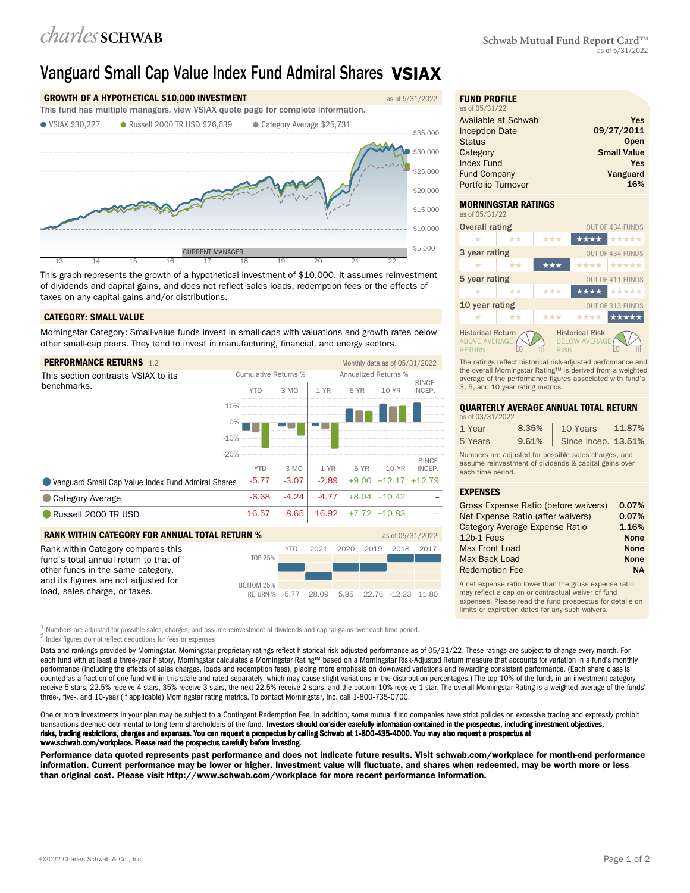# Vanguard Small Cap Value Index Fund Admiral Shares VSIAX



This graph represents the growth of a hypothetical investment of \$10,000. It assumes reinvestment of dividends and capital gains, and does not reflect sales loads, redemption fees or the effects of taxes on any capital gains and/or distributions.

### CATEGORY: SMALL VALUE

Morningstar Category: Small-value funds invest in small-caps with valuations and growth rates below other small-cap peers. They tend to invest in manufacturing, financial, and energy sectors.

| <b>PERFORMANCE RETURNS 1,2</b>                                              |                             |            |          |                      | Monthly data as of 05/31/2022 |                        |
|-----------------------------------------------------------------------------|-----------------------------|------------|----------|----------------------|-------------------------------|------------------------|
| This section contrasts VSIAX to its                                         | <b>Cumulative Returns %</b> |            |          | Annualized Returns % |                               |                        |
| benchmarks.                                                                 | <b>YTD</b>                  | 3 MO       | 1 YR     | 5 YR                 | 10 YR                         | <b>SINCE</b><br>INCEP. |
|                                                                             | 10%                         |            |          |                      |                               |                        |
|                                                                             | 0%                          |            |          |                      |                               |                        |
|                                                                             | $-10%$                      |            |          |                      |                               |                        |
|                                                                             | $-20%$                      |            |          |                      |                               | <b>SINCE</b>           |
|                                                                             | <b>YTD</b>                  | 3 MO       | 1 YR     | 5 YR                 | 10 YR                         | INCEP.                 |
| Vanguard Small Cap Value Index Fund Admiral Shares                          | $-5.77$                     | $-3.07$    | $-2.89$  | $+9.00$              | $+12.17$                      | $+12.79$               |
| <b>Category Average</b>                                                     | $-6.68$                     | $-4.24$    | $-4.77$  | $+8.04$              | $+10.42$                      |                        |
| Russell 2000 TR USD                                                         | $-16.57$                    | $-8.65$    | $-16.92$ | $+7.72$              | $+10.83$                      |                        |
| <b>RANK WITHIN CATEGORY FOR ANNUAL TOTAL RETURN %</b><br>as of 05/31/2022   |                             |            |          |                      |                               |                        |
| Rank within Category compares this<br>fund's total annual return to that of | <b>TOP 25%</b>              | <b>YTD</b> | 2021     | 2020                 | 2019<br>2018                  | 2017                   |

| fund's total annual return to that of<br>other funds in the same category, | TOP 25%                                      |  |  |  |
|----------------------------------------------------------------------------|----------------------------------------------|--|--|--|
| and its figures are not adjusted for                                       | <b>BOTTOM 25%</b>                            |  |  |  |
| load, sales charge, or taxes.                                              | RETURN % -5.77 28.09 5.85 22.76 -12.23 11.80 |  |  |  |

 $^1$  Numbers are adjusted for possible sales, charges, and assume reinvestment of dividends and capital gains over each time period. 2 Index figures do not reflect deductions for fees or expenses

Data and rankings provided by Morningstar. Morningstar proprietary ratings reflect historical risk-adjusted performance as of 05/31/22. These ratings are subject to change every month. For each fund with at least a three-year history, Morningstar calculates a Morningstar Rating™ based on a Morningstar Risk-Adjusted Return measure that accounts for variation in a fund's monthly performance (including the effects of sales charges, loads and redemption fees), placing more emphasis on downward variations and rewarding consistent performance. (Each share class is counted as a fraction of one fund within this scale and rated separately, which may cause slight variations in the distribution percentages.) The top 10% of the funds in an investment category receive 5 stars, 22.5% receive 4 stars, 35% receive 3 stars, the next 22.5% receive 2 stars, and the bottom 10% receive 1 star. The overall Morningstar Rating is a weighted average of the funds' three-, five-, and 10-year (if applicable) Morningstar rating metrics. To contact Morningstar, Inc. call 1-800-735-0700.

One or more investments in your plan may be subject to a Contingent Redemption Fee. In addition, some mutual fund companies have strict policies on excessive trading and expressly prohibit transactions deemed detrimental to long-term shareholders of the fund. Investors should consider carefully information contained in the prospectus, including investment objectives, risks, trading restrictions, charges and expenses. You can request a prospectus by calling Schwab at 1-800-435-4000. You may also request a prospectus at www.schwab.com/workplace. Please read the prospectus carefully before investing.

Performance data quoted represents past performance and does not indicate future results. Visit schwab.com/workplace for month-end performance information. Current performance may be lower or higher. Investment value will fluctuate, and shares when redeemed, may be worth more or less than original cost. Please visit http://www.schwab.com/workplace for more recent performance information.

| <b>FUND PROFILE</b><br>as of 05/31/22 |                    |
|---------------------------------------|--------------------|
| Available at Schwab                   | Yes                |
| <b>Inception Date</b>                 | 09/27/2011         |
| <b>Status</b>                         | Open               |
| Category                              | <b>Small Value</b> |
| <b>Index Fund</b>                     | Yes                |
| <b>Fund Company</b>                   | Vanguard           |
| Portfolio Turnover                    | 16%                |

# MORNINGSTAR RATINGS



The ratings reflect historical risk-adjusted performance and the overall Morningstar Rating™ is derived from a weighted average of the performance figures associated with fund's 3, 5, and 10 year rating metrics.

## QUARTERLY AVERAGE ANNUAL TOTAL RETURN

| as of 03/31/2022 |       |                             |        |
|------------------|-------|-----------------------------|--------|
| 1 Year           | 8.35% | 10 Years                    | 11.87% |
| 5 Years          |       | 9.61%   Since Incep. 13.51% |        |

Numbers are adjusted for possible sales charges, and assume reinvestment of dividends & capital gains over each time period.

### EXPENSES

| Gross Expense Ratio (before waivers)  | 0.07%       |
|---------------------------------------|-------------|
| Net Expense Ratio (after waivers)     | 0.07%       |
| <b>Category Average Expense Ratio</b> | 1.16%       |
| 12b-1 Fees                            | <b>None</b> |
| Max Front Load                        | <b>None</b> |
| Max Back Load                         | <b>None</b> |
| <b>Redemption Fee</b>                 | <b>NA</b>   |

A net expense ratio lower than the gross expense ratio may reflect a cap on or contractual waiver of fund expenses. Please read the fund prospectus for details on limits or expiration dates for any such waivers.